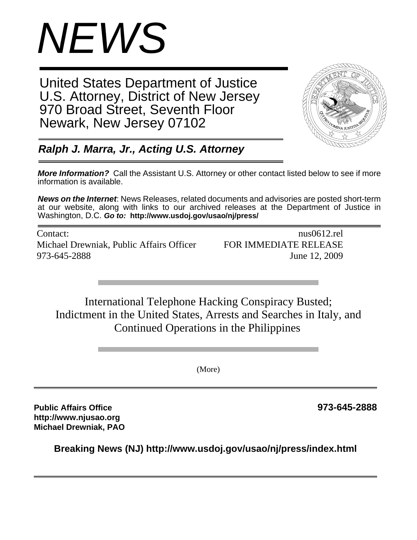

United States Department of Justice U.S. Attorney, District of New Jersey 970 Broad Street, Seventh Floor Newark, New Jersey 07102



*Ralph J. Marra, Jr., Acting U.S. Attorney*

*More Information?* Call the Assistant U.S. Attorney or other contact listed below to see if more information is available.

*News on the Internet*: News Releases, related documents and advisories are posted short-term at our website, along with links to our archived releases at the Department of Justice in Washington, D.C. *Go to:* **http://www.usdoj.gov/usao/nj/press/**

Contact: nus0612.rel Michael Drewniak, Public Affairs Officer FOR IMMEDIATE RELEASE 973-645-2888 June 12, 2009

International Telephone Hacking Conspiracy Busted; Indictment in the United States, Arrests and Searches in Italy, and Continued Operations in the Philippines

(More)

**Public Affairs Office 973-645-2888 http://www.njusao.org Michael Drewniak, PAO**

**Breaking News (NJ) http://www.usdoj.gov/usao/nj/press/index.html**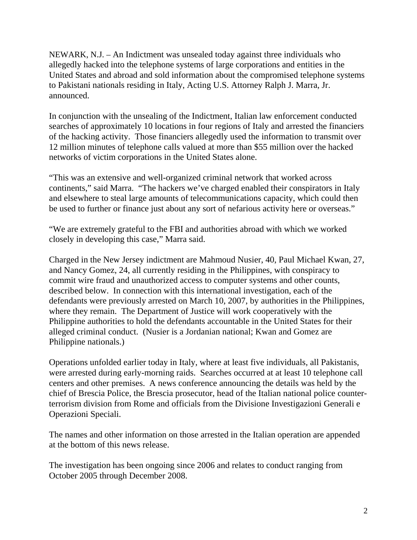NEWARK, N.J. – An Indictment was unsealed today against three individuals who allegedly hacked into the telephone systems of large corporations and entities in the United States and abroad and sold information about the compromised telephone systems to Pakistani nationals residing in Italy, Acting U.S. Attorney Ralph J. Marra, Jr. announced.

In conjunction with the unsealing of the Indictment, Italian law enforcement conducted searches of approximately 10 locations in four regions of Italy and arrested the financiers of the hacking activity. Those financiers allegedly used the information to transmit over 12 million minutes of telephone calls valued at more than \$55 million over the hacked networks of victim corporations in the United States alone.

"This was an extensive and well-organized criminal network that worked across continents," said Marra. "The hackers we've charged enabled their conspirators in Italy and elsewhere to steal large amounts of telecommunications capacity, which could then be used to further or finance just about any sort of nefarious activity here or overseas."

"We are extremely grateful to the FBI and authorities abroad with which we worked closely in developing this case," Marra said.

Charged in the New Jersey indictment are Mahmoud Nusier, 40, Paul Michael Kwan, 27, and Nancy Gomez, 24, all currently residing in the Philippines, with conspiracy to commit wire fraud and unauthorized access to computer systems and other counts, described below. In connection with this international investigation, each of the defendants were previously arrested on March 10, 2007, by authorities in the Philippines, where they remain. The Department of Justice will work cooperatively with the Philippine authorities to hold the defendants accountable in the United States for their alleged criminal conduct. (Nusier is a Jordanian national; Kwan and Gomez are Philippine nationals.)

Operations unfolded earlier today in Italy, where at least five individuals, all Pakistanis, were arrested during early-morning raids. Searches occurred at at least 10 telephone call centers and other premises. A news conference announcing the details was held by the chief of Brescia Police, the Brescia prosecutor, head of the Italian national police counterterrorism division from Rome and officials from the Divisione Investigazioni Generali e Operazioni Speciali.

The names and other information on those arrested in the Italian operation are appended at the bottom of this news release.

The investigation has been ongoing since 2006 and relates to conduct ranging from October 2005 through December 2008.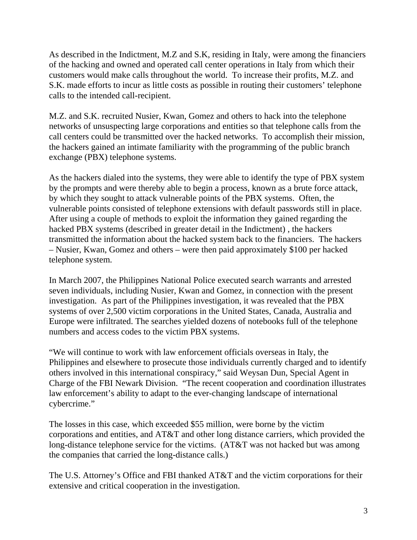As described in the Indictment, M.Z and S.K, residing in Italy, were among the financiers of the hacking and owned and operated call center operations in Italy from which their customers would make calls throughout the world. To increase their profits, M.Z. and S.K. made efforts to incur as little costs as possible in routing their customers' telephone calls to the intended call-recipient.

M.Z. and S.K. recruited Nusier, Kwan, Gomez and others to hack into the telephone networks of unsuspecting large corporations and entities so that telephone calls from the call centers could be transmitted over the hacked networks. To accomplish their mission, the hackers gained an intimate familiarity with the programming of the public branch exchange (PBX) telephone systems.

As the hackers dialed into the systems, they were able to identify the type of PBX system by the prompts and were thereby able to begin a process, known as a brute force attack, by which they sought to attack vulnerable points of the PBX systems. Often, the vulnerable points consisted of telephone extensions with default passwords still in place. After using a couple of methods to exploit the information they gained regarding the hacked PBX systems (described in greater detail in the Indictment) , the hackers transmitted the information about the hacked system back to the financiers. The hackers – Nusier, Kwan, Gomez and others – were then paid approximately \$100 per hacked telephone system.

In March 2007, the Philippines National Police executed search warrants and arrested seven individuals, including Nusier, Kwan and Gomez, in connection with the present investigation. As part of the Philippines investigation, it was revealed that the PBX systems of over 2,500 victim corporations in the United States, Canada, Australia and Europe were infiltrated. The searches yielded dozens of notebooks full of the telephone numbers and access codes to the victim PBX systems.

"We will continue to work with law enforcement officials overseas in Italy, the Philippines and elsewhere to prosecute those individuals currently charged and to identify others involved in this international conspiracy," said Weysan Dun, Special Agent in Charge of the FBI Newark Division. "The recent cooperation and coordination illustrates law enforcement's ability to adapt to the ever-changing landscape of international cybercrime."

The losses in this case, which exceeded \$55 million, were borne by the victim corporations and entities, and AT&T and other long distance carriers, which provided the long-distance telephone service for the victims. (AT&T was not hacked but was among the companies that carried the long-distance calls.)

The U.S. Attorney's Office and FBI thanked AT&T and the victim corporations for their extensive and critical cooperation in the investigation.